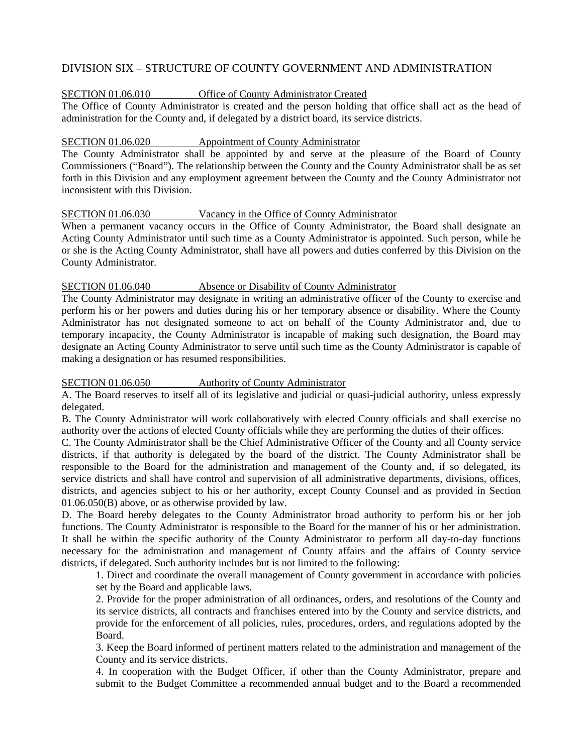# DIVISION SIX – STRUCTURE OF COUNTY GOVERNMENT AND ADMINISTRATION

## SECTION 01.06.010 Office of County Administrator Created

The Office of County Administrator is created and the person holding that office shall act as the head of administration for the County and, if delegated by a district board, its service districts.

### SECTION 01.06.020 Appointment of County Administrator

The County Administrator shall be appointed by and serve at the pleasure of the Board of County Commissioners ("Board"). The relationship between the County and the County Administrator shall be as set forth in this Division and any employment agreement between the County and the County Administrator not inconsistent with this Division.

### SECTION 01.06.030 Vacancy in the Office of County Administrator

When a permanent vacancy occurs in the Office of County Administrator, the Board shall designate an Acting County Administrator until such time as a County Administrator is appointed. Such person, while he or she is the Acting County Administrator, shall have all powers and duties conferred by this Division on the County Administrator.

#### SECTION 01.06.040 Absence or Disability of County Administrator

The County Administrator may designate in writing an administrative officer of the County to exercise and perform his or her powers and duties during his or her temporary absence or disability. Where the County Administrator has not designated someone to act on behalf of the County Administrator and, due to temporary incapacity, the County Administrator is incapable of making such designation, the Board may designate an Acting County Administrator to serve until such time as the County Administrator is capable of making a designation or has resumed responsibilities.

## SECTION 01.06.050 Authority of County Administrator

A. The Board reserves to itself all of its legislative and judicial or quasi-judicial authority, unless expressly delegated.

B. The County Administrator will work collaboratively with elected County officials and shall exercise no authority over the actions of elected County officials while they are performing the duties of their offices.

C. The County Administrator shall be the Chief Administrative Officer of the County and all County service districts, if that authority is delegated by the board of the district. The County Administrator shall be responsible to the Board for the administration and management of the County and, if so delegated, its service districts and shall have control and supervision of all administrative departments, divisions, offices, districts, and agencies subject to his or her authority, except County Counsel and as provided in Section 01.06.050(B) above, or as otherwise provided by law.

D. The Board hereby delegates to the County Administrator broad authority to perform his or her job functions. The County Administrator is responsible to the Board for the manner of his or her administration. It shall be within the specific authority of the County Administrator to perform all day-to-day functions necessary for the administration and management of County affairs and the affairs of County service districts, if delegated. Such authority includes but is not limited to the following:

 1. Direct and coordinate the overall management of County government in accordance with policies set by the Board and applicable laws.

2. Provide for the proper administration of all ordinances, orders, and resolutions of the County and its service districts, all contracts and franchises entered into by the County and service districts, and provide for the enforcement of all policies, rules, procedures, orders, and regulations adopted by the Board.

3. Keep the Board informed of pertinent matters related to the administration and management of the County and its service districts.

4. In cooperation with the Budget Officer, if other than the County Administrator, prepare and submit to the Budget Committee a recommended annual budget and to the Board a recommended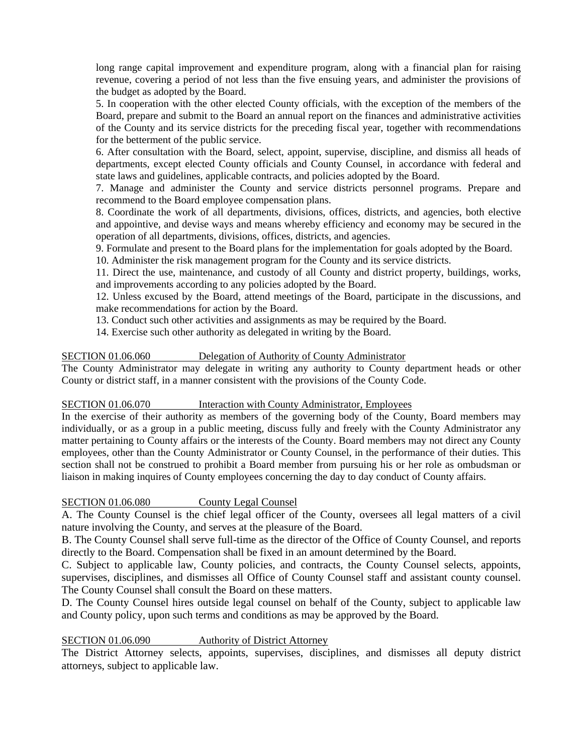long range capital improvement and expenditure program, along with a financial plan for raising revenue, covering a period of not less than the five ensuing years, and administer the provisions of the budget as adopted by the Board.

5. In cooperation with the other elected County officials, with the exception of the members of the Board, prepare and submit to the Board an annual report on the finances and administrative activities of the County and its service districts for the preceding fiscal year, together with recommendations for the betterment of the public service.

6. After consultation with the Board, select, appoint, supervise, discipline, and dismiss all heads of departments, except elected County officials and County Counsel, in accordance with federal and state laws and guidelines, applicable contracts, and policies adopted by the Board.

7. Manage and administer the County and service districts personnel programs. Prepare and recommend to the Board employee compensation plans.

8. Coordinate the work of all departments, divisions, offices, districts, and agencies, both elective and appointive, and devise ways and means whereby efficiency and economy may be secured in the operation of all departments, divisions, offices, districts, and agencies.

9. Formulate and present to the Board plans for the implementation for goals adopted by the Board.

10. Administer the risk management program for the County and its service districts.

11. Direct the use, maintenance, and custody of all County and district property, buildings, works, and improvements according to any policies adopted by the Board.

12. Unless excused by the Board, attend meetings of the Board, participate in the discussions, and make recommendations for action by the Board.

13. Conduct such other activities and assignments as may be required by the Board.

14. Exercise such other authority as delegated in writing by the Board.

## SECTION 01.06.060 Delegation of Authority of County Administrator

The County Administrator may delegate in writing any authority to County department heads or other County or district staff, in a manner consistent with the provisions of the County Code.

## SECTION 01.06.070 Interaction with County Administrator, Employees

In the exercise of their authority as members of the governing body of the County, Board members may individually, or as a group in a public meeting, discuss fully and freely with the County Administrator any matter pertaining to County affairs or the interests of the County. Board members may not direct any County employees, other than the County Administrator or County Counsel, in the performance of their duties. This section shall not be construed to prohibit a Board member from pursuing his or her role as ombudsman or liaison in making inquires of County employees concerning the day to day conduct of County affairs.

# SECTION 01.06.080 County Legal Counsel

A. The County Counsel is the chief legal officer of the County, oversees all legal matters of a civil nature involving the County, and serves at the pleasure of the Board.

B. The County Counsel shall serve full-time as the director of the Office of County Counsel, and reports directly to the Board. Compensation shall be fixed in an amount determined by the Board.

C. Subject to applicable law, County policies, and contracts, the County Counsel selects, appoints, supervises, disciplines, and dismisses all Office of County Counsel staff and assistant county counsel. The County Counsel shall consult the Board on these matters.

D. The County Counsel hires outside legal counsel on behalf of the County, subject to applicable law and County policy, upon such terms and conditions as may be approved by the Board.

## SECTION 01.06.090 Authority of District Attorney

The District Attorney selects, appoints, supervises, disciplines, and dismisses all deputy district attorneys, subject to applicable law.